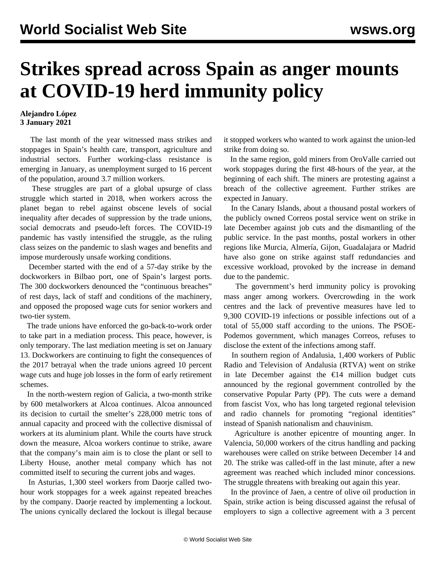## **Strikes spread across Spain as anger mounts at COVID-19 herd immunity policy**

## **Alejandro López 3 January 2021**

 The last month of the year witnessed mass strikes and stoppages in Spain's health care, transport, agriculture and industrial sectors. Further working-class resistance is emerging in January, as unemployment surged to 16 percent of the population, around 3.7 million workers.

 These struggles are part of a global upsurge of class struggle which started in 2018, when workers across the planet began to rebel against obscene levels of social inequality after decades of suppression by the trade unions, social democrats and pseudo-left forces. The COVID-19 pandemic has vastly intensified the struggle, as the ruling class seizes on the pandemic to slash wages and benefits and impose murderously unsafe working conditions.

 December started with the end of a 57-day strike by the dockworkers in Bilbao port, one of Spain's largest ports. The 300 dockworkers denounced the "continuous breaches" of rest days, lack of staff and conditions of the machinery, and opposed the proposed wage cuts for senior workers and two-tier system.

 The trade unions have enforced the go-back-to-work order to take part in a mediation process. This peace, however, is only temporary. The last mediation meeting is set on January 13. Dockworkers are continuing to fight the consequences of the 2017 [betrayal](/en/articles/2017/03/25/dock-m25.html) when the trade unions agreed 10 percent wage cuts and huge job losses in the form of early retirement schemes.

 In the north-western region of Galicia, a two-month strike by 600 metalworkers at Alcoa continues. Alcoa announced its decision to curtail the smelter's 228,000 metric tons of annual capacity and proceed with the collective dismissal of workers at its aluminium plant. While the courts have struck down the measure, Alcoa workers continue to strike, aware that the company's main aim is to close the plant or sell to Liberty House, another metal company which has not committed itself to securing the current jobs and wages.

 In Asturias, 1,300 steel workers from Daorje called twohour work stoppages for a week against repeated breaches by the company. Daorje reacted by implementing a lockout. The unions cynically declared the lockout is illegal because it stopped workers who wanted to work against the union-led strike from doing so.

 In the same region, gold miners from OroValle carried out work stoppages during the first 48-hours of the year, at the beginning of each shift. The miners are protesting against a breach of the collective agreement. Further strikes are expected in January.

 In the Canary Islands, about a thousand postal workers of the publicly owned Correos postal service went on strike in late December against job cuts and the dismantling of the public service. In the past months, postal workers in other regions like Murcia, Almería, Gijon, Guadalajara or Madrid have also gone on strike against staff redundancies and excessive workload, provoked by the increase in demand due to the pandemic.

 The government's herd immunity policy is provoking mass anger among workers. Overcrowding in the work centres and the lack of preventive measures have led to 9,300 COVID-19 infections or possible infections out of a total of 55,000 staff according to the unions. The PSOE-Podemos government, which manages Correos, refuses to disclose the extent of the infections among staff.

 In southern region of Andalusia, 1,400 workers of Public Radio and Television of Andalusia (RTVA) went on strike in late December against the  $\epsilon$ 14 million budget cuts announced by the regional government controlled by the conservative Popular Party (PP). The cuts were a demand from fascist Vox, who has long targeted regional television and radio channels for promoting "regional identities" instead of Spanish nationalism and chauvinism.

 Agriculture is another epicentre of mounting anger. In Valencia, 50,000 workers of the citrus handling and packing warehouses were called on strike between December 14 and 20. The strike was called-off in the last minute, after a new agreement was reached which included minor concessions. The struggle threatens with breaking out again this year.

 In the province of Jaen, a centre of olive oil production in Spain, strike action is being discussed against the refusal of employers to sign a collective agreement with a 3 percent